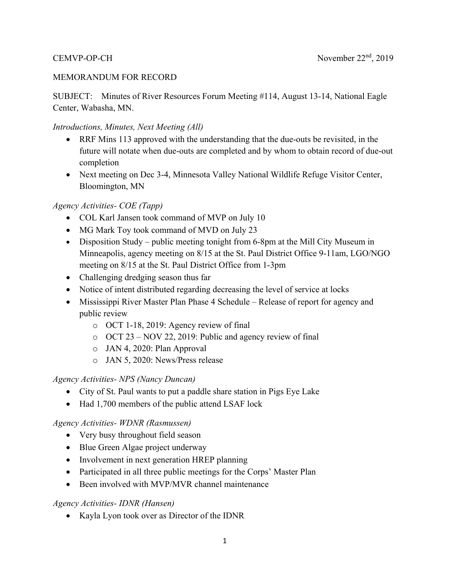#### MEMORANDUM FOR RECORD

SUBJECT: Minutes of River Resources Forum Meeting #114, August 13-14, National Eagle Center, Wabasha, MN.

#### *Introductions, Minutes, Next Meeting (All)*

- RRF Mins 113 approved with the understanding that the due-outs be revisited, in the future will notate when due-outs are completed and by whom to obtain record of due-out completion
- Next meeting on Dec 3-4, Minnesota Valley National Wildlife Refuge Visitor Center, Bloomington, MN

#### *Agency Activities- COE (Tapp)*

- COL Karl Jansen took command of MVP on July 10
- MG Mark Toy took command of MVD on July 23
- Disposition Study public meeting tonight from 6-8pm at the Mill City Museum in Minneapolis, agency meeting on 8/15 at the St. Paul District Office 9-11am, LGO/NGO meeting on 8/15 at the St. Paul District Office from 1-3pm
- Challenging dredging season thus far
- Notice of intent distributed regarding decreasing the level of service at locks
- Mississippi River Master Plan Phase 4 Schedule Release of report for agency and public review
	- o OCT 1-18, 2019: Agency review of final
	- o OCT 23 NOV 22, 2019: Public and agency review of final
	- o JAN 4, 2020: Plan Approval
	- o JAN 5, 2020: News/Press release

#### *Agency Activities- NPS (Nancy Duncan)*

- City of St. Paul wants to put a paddle share station in Pigs Eye Lake
- Had 1,700 members of the public attend LSAF lock

#### *Agency Activities- WDNR (Rasmussen)*

- Very busy throughout field season
- Blue Green Algae project underway
- Involvement in next generation HREP planning
- Participated in all three public meetings for the Corps' Master Plan
- Been involved with MVP/MVR channel maintenance

#### *Agency Activities- IDNR (Hansen)*

Kayla Lyon took over as Director of the IDNR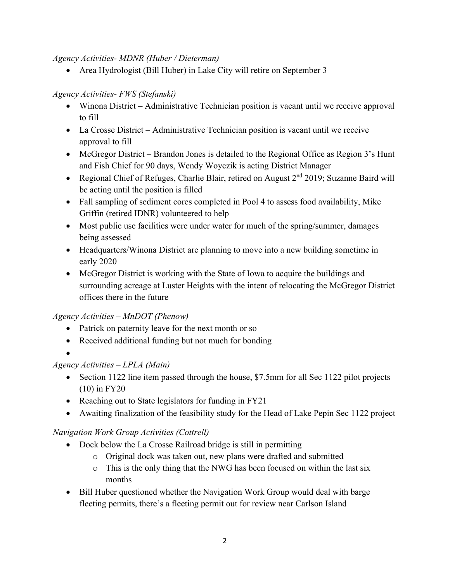*Agency Activities- MDNR (Huber / Dieterman)* 

• Area Hydrologist (Bill Huber) in Lake City will retire on September 3

## *Agency Activities- FWS (Stefanski)*

- Winona District Administrative Technician position is vacant until we receive approval to fill
- La Crosse District Administrative Technician position is vacant until we receive approval to fill
- McGregor District Brandon Jones is detailed to the Regional Office as Region 3's Hunt and Fish Chief for 90 days, Wendy Woyczik is acting District Manager
- Regional Chief of Refuges, Charlie Blair, retired on August 2<sup>nd</sup> 2019; Suzanne Baird will be acting until the position is filled
- Fall sampling of sediment cores completed in Pool 4 to assess food availability, Mike Griffin (retired IDNR) volunteered to help
- Most public use facilities were under water for much of the spring/summer, damages being assessed
- Headquarters/Winona District are planning to move into a new building sometime in early 2020
- McGregor District is working with the State of Iowa to acquire the buildings and surrounding acreage at Luster Heights with the intent of relocating the McGregor District offices there in the future

## *Agency Activities – MnDOT (Phenow)*

- Patrick on paternity leave for the next month or so
- Received additional funding but not much for bonding
- $\bullet$

# *Agency Activities – LPLA (Main)*

- Section 1122 line item passed through the house, \$7.5mm for all Sec 1122 pilot projects (10) in FY20
- Reaching out to State legislators for funding in FY21
- Awaiting finalization of the feasibility study for the Head of Lake Pepin Sec 1122 project

# *Navigation Work Group Activities (Cottrell)*

- Dock below the La Crosse Railroad bridge is still in permitting
	- o Original dock was taken out, new plans were drafted and submitted
	- o This is the only thing that the NWG has been focused on within the last six months
- Bill Huber questioned whether the Navigation Work Group would deal with barge fleeting permits, there's a fleeting permit out for review near Carlson Island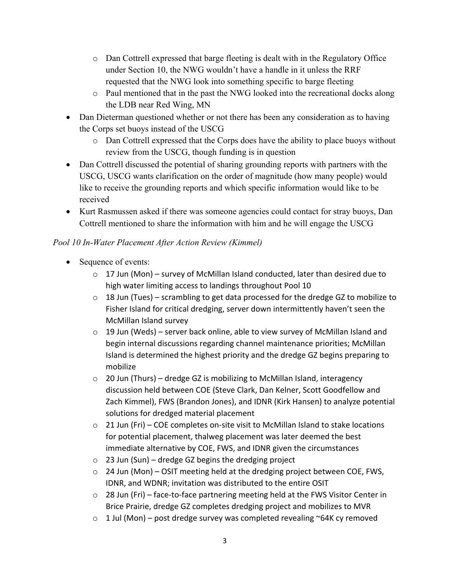- o Dan Cottrell expressed that barge fleeting is dealt with in the Regulatory Office under Section 10, the NWG wouldn't have a handle in it unless the RRF requested that the NWG look into something specific to barge fleeting
- o Paul mentioned that in the past the NWG looked into the recreational docks along the LDB near Red Wing, MN
- Dan Dieterman questioned whether or not there has been any consideration as to having the Corps set buoys instead of the USCG
	- o Dan Cottrell expressed that the Corps does have the ability to place buoys without review from the USCG, though funding is in question
- Dan Cottrell discussed the potential of sharing grounding reports with partners with the USCG, USCG wants clarification on the order of magnitude (how many people) would like to receive the grounding reports and which specific information would like to be received
- Kurt Rasmussen asked if there was someone agencies could contact for stray buoys, Dan Cottrell mentioned to share the information with him and he will engage the USCG

## *Pool 10 In-Water Placement After Action Review (Kimmel)*

- Sequence of events:
	- $\circ$  17 Jun (Mon) survey of McMillan Island conducted, later than desired due to high water limiting access to landings throughout Pool 10
	- $\circ$  18 Jun (Tues) scrambling to get data processed for the dredge GZ to mobilize to Fisher Island for critical dredging, server down intermittently haven't seen the McMillan Island survey
	- $\circ$  19 Jun (Weds) server back online, able to view survey of McMillan Island and begin internal discussions regarding channel maintenance priorities; McMillan Island is determined the highest priority and the dredge GZ begins preparing to mobilize
	- o 20 Jun (Thurs) dredge GZ is mobilizing to McMillan Island, interagency discussion held between COE (Steve Clark, Dan Kelner, Scott Goodfellow and Zach Kimmel), FWS (Brandon Jones), and IDNR (Kirk Hansen) to analyze potential solutions for dredged material placement
	- $\circ$  21 Jun (Fri) COE completes on-site visit to McMillan Island to stake locations for potential placement, thalweg placement was later deemed the best immediate alternative by COE, FWS, and IDNR given the circumstances
	- $\circ$  23 Jun (Sun) dredge GZ begins the dredging project
	- $\circ$  24 Jun (Mon) OSIT meeting held at the dredging project between COE, FWS, IDNR, and WDNR; invitation was distributed to the entire OSIT
	- $\circ$  28 Jun (Fri) face-to-face partnering meeting held at the FWS Visitor Center in Brice Prairie, dredge GZ completes dredging project and mobilizes to MVR
	- $\circ$  1 Jul (Mon) post dredge survey was completed revealing ~64K cy removed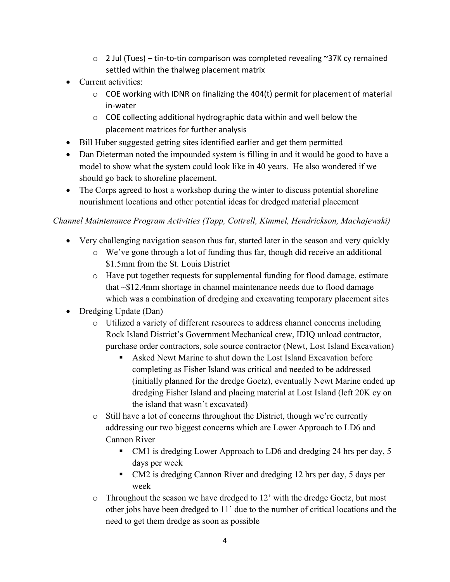- o 2 Jul (Tues) tin‐to‐tin comparison was completed revealing ~37K cy remained settled within the thalweg placement matrix
- Current activities:
	- $\circ$  COE working with IDNR on finalizing the 404(t) permit for placement of material in‐water
	- o COE collecting additional hydrographic data within and well below the placement matrices for further analysis
- Bill Huber suggested getting sites identified earlier and get them permitted
- Dan Dieterman noted the impounded system is filling in and it would be good to have a model to show what the system could look like in 40 years. He also wondered if we should go back to shoreline placement.
- The Corps agreed to host a workshop during the winter to discuss potential shoreline nourishment locations and other potential ideas for dredged material placement

## *Channel Maintenance Program Activities (Tapp, Cottrell, Kimmel, Hendrickson, Machajewski)*

- Very challenging navigation season thus far, started later in the season and very quickly
	- o We've gone through a lot of funding thus far, though did receive an additional \$1.5mm from the St. Louis District
	- o Have put together requests for supplemental funding for flood damage, estimate that ~\$12.4mm shortage in channel maintenance needs due to flood damage which was a combination of dredging and excavating temporary placement sites
- Dredging Update (Dan)
	- o Utilized a variety of different resources to address channel concerns including Rock Island District's Government Mechanical crew, IDIQ unload contractor, purchase order contractors, sole source contractor (Newt, Lost Island Excavation)
		- Asked Newt Marine to shut down the Lost Island Excavation before completing as Fisher Island was critical and needed to be addressed (initially planned for the dredge Goetz), eventually Newt Marine ended up dredging Fisher Island and placing material at Lost Island (left 20K cy on the island that wasn't excavated)
	- o Still have a lot of concerns throughout the District, though we're currently addressing our two biggest concerns which are Lower Approach to LD6 and Cannon River
		- CM1 is dredging Lower Approach to LD6 and dredging 24 hrs per day, 5 days per week
		- CM2 is dredging Cannon River and dredging 12 hrs per day, 5 days per week
	- o Throughout the season we have dredged to 12' with the dredge Goetz, but most other jobs have been dredged to 11' due to the number of critical locations and the need to get them dredge as soon as possible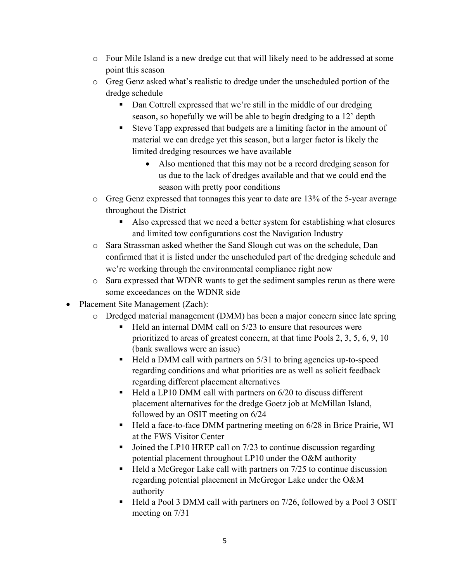- o Four Mile Island is a new dredge cut that will likely need to be addressed at some point this season
- o Greg Genz asked what's realistic to dredge under the unscheduled portion of the dredge schedule
	- Dan Cottrell expressed that we're still in the middle of our dredging season, so hopefully we will be able to begin dredging to a 12' depth
	- Steve Tapp expressed that budgets are a limiting factor in the amount of material we can dredge yet this season, but a larger factor is likely the limited dredging resources we have available
		- Also mentioned that this may not be a record dredging season for us due to the lack of dredges available and that we could end the season with pretty poor conditions
- o Greg Genz expressed that tonnages this year to date are 13% of the 5-year average throughout the District
	- Also expressed that we need a better system for establishing what closures and limited tow configurations cost the Navigation Industry
- o Sara Strassman asked whether the Sand Slough cut was on the schedule, Dan confirmed that it is listed under the unscheduled part of the dredging schedule and we're working through the environmental compliance right now
- o Sara expressed that WDNR wants to get the sediment samples rerun as there were some exceedances on the WDNR side
- Placement Site Management (Zach):
	- o Dredged material management (DMM) has been a major concern since late spring
		- $\blacksquare$  Held an internal DMM call on 5/23 to ensure that resources were prioritized to areas of greatest concern, at that time Pools 2, 3, 5, 6, 9, 10 (bank swallows were an issue)
		- $\blacksquare$  Held a DMM call with partners on 5/31 to bring agencies up-to-speed regarding conditions and what priorities are as well as solicit feedback regarding different placement alternatives
		- $\blacksquare$  Held a LP10 DMM call with partners on 6/20 to discuss different placement alternatives for the dredge Goetz job at McMillan Island, followed by an OSIT meeting on 6/24
		- Held a face-to-face DMM partnering meeting on 6/28 in Brice Prairie, WI at the FWS Visitor Center
		- $\blacksquare$  Joined the LP10 HREP call on 7/23 to continue discussion regarding potential placement throughout LP10 under the O&M authority
		- $\blacksquare$  Held a McGregor Lake call with partners on 7/25 to continue discussion regarding potential placement in McGregor Lake under the O&M authority
		- Held a Pool 3 DMM call with partners on 7/26, followed by a Pool 3 OSIT meeting on 7/31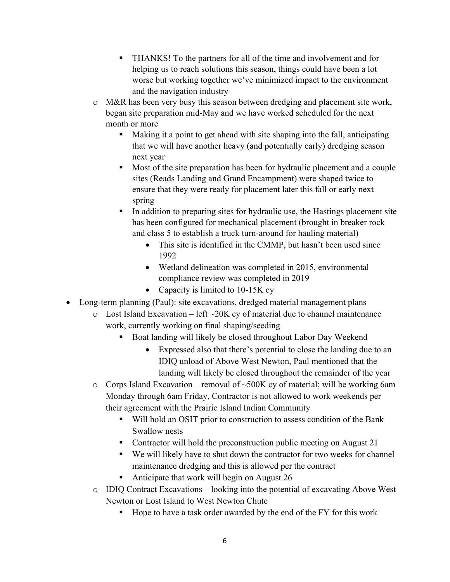- THANKS! To the partners for all of the time and involvement and for helping us to reach solutions this season, things could have been a lot worse but working together we've minimized impact to the environment and the navigation industry
- $\circ$  M&R has been very busy this season between dredging and placement site work, began site preparation mid-May and we have worked scheduled for the next month or more
	- Making it a point to get ahead with site shaping into the fall, anticipating that we will have another heavy (and potentially early) dredging season next year
	- Most of the site preparation has been for hydraulic placement and a couple sites (Reads Landing and Grand Encampment) were shaped twice to ensure that they were ready for placement later this fall or early next spring
	- In addition to preparing sites for hydraulic use, the Hastings placement site has been configured for mechanical placement (brought in breaker rock and class 5 to establish a truck turn-around for hauling material)
		- This site is identified in the CMMP, but hasn't been used since 1992
		- Wetland delineation was completed in 2015, environmental compliance review was completed in 2019
		- Capacity is limited to 10-15K cy
- Long-term planning (Paul): site excavations, dredged material management plans
	- $\circ$  Lost Island Excavation left  $\sim$ 20K cy of material due to channel maintenance work, currently working on final shaping/seeding
		- Boat landing will likely be closed throughout Labor Day Weekend
			- Expressed also that there's potential to close the landing due to an IDIQ unload of Above West Newton, Paul mentioned that the landing will likely be closed throughout the remainder of the year
	- $\circ$  Corps Island Excavation removal of  $\sim$ 500K cy of material; will be working 6am Monday through 6am Friday, Contractor is not allowed to work weekends per their agreement with the Prairie Island Indian Community
		- Will hold an OSIT prior to construction to assess condition of the Bank Swallow nests
		- Contractor will hold the preconstruction public meeting on August 21
		- We will likely have to shut down the contractor for two weeks for channel maintenance dredging and this is allowed per the contract
		- Anticipate that work will begin on August 26
	- o IDIQ Contract Excavations looking into the potential of excavating Above West Newton or Lost Island to West Newton Chute
		- Hope to have a task order awarded by the end of the FY for this work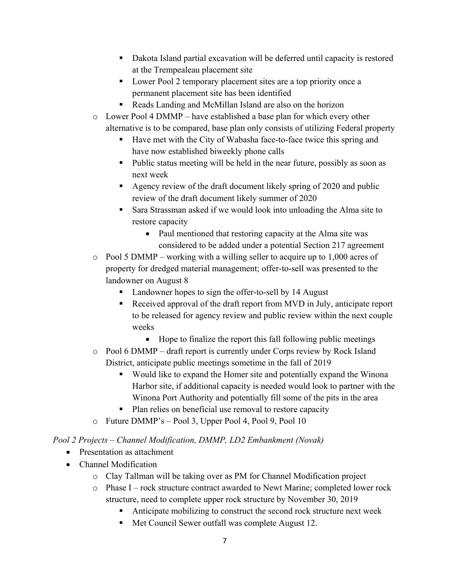- Dakota Island partial excavation will be deferred until capacity is restored at the Trempealeau placement site
- **Lower Pool 2 temporary placement sites are a top priority once a** permanent placement site has been identified
- Reads Landing and McMillan Island are also on the horizon
- $\circ$  Lower Pool 4 DMMP have established a base plan for which every other alternative is to be compared, base plan only consists of utilizing Federal property
	- Have met with the City of Wabasha face-to-face twice this spring and have now established biweekly phone calls
	- Public status meeting will be held in the near future, possibly as soon as next week
	- Agency review of the draft document likely spring of 2020 and public review of the draft document likely summer of 2020
	- Sara Strassman asked if we would look into unloading the Alma site to restore capacity
		- Paul mentioned that restoring capacity at the Alma site was considered to be added under a potential Section 217 agreement
- $\circ$  Pool 5 DMMP working with a willing seller to acquire up to 1,000 acres of property for dredged material management; offer-to-sell was presented to the landowner on August 8
	- Landowner hopes to sign the offer-to-sell by 14 August
	- Received approval of the draft report from MVD in July, anticipate report to be released for agency review and public review within the next couple weeks
		- Hope to finalize the report this fall following public meetings
- o Pool 6 DMMP draft report is currently under Corps review by Rock Island District, anticipate public meetings sometime in the fall of 2019
	- Would like to expand the Homer site and potentially expand the Winona Harbor site, if additional capacity is needed would look to partner with the Winona Port Authority and potentially fill some of the pits in the area
	- Plan relies on beneficial use removal to restore capacity
- o Future DMMP's Pool 3, Upper Pool 4, Pool 9, Pool 10

## *Pool 2 Projects – Channel Modification, DMMP, LD2 Embankment (Novak)*

- Presentation as attachment
- Channel Modification
	- o Clay Tallman will be taking over as PM for Channel Modification project
	- o Phase I rock structure contract awarded to Newt Marine; completed lower rock structure, need to complete upper rock structure by November 30, 2019
		- Anticipate mobilizing to construct the second rock structure next week
		- Met Council Sewer outfall was complete August 12.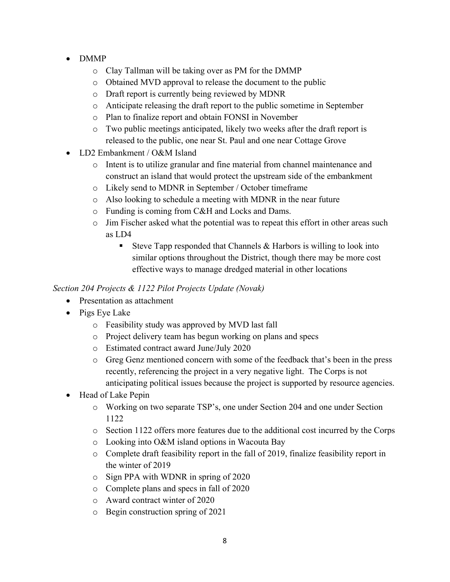- DMMP
	- o Clay Tallman will be taking over as PM for the DMMP
	- o Obtained MVD approval to release the document to the public
	- o Draft report is currently being reviewed by MDNR
	- o Anticipate releasing the draft report to the public sometime in September
	- o Plan to finalize report and obtain FONSI in November
	- o Two public meetings anticipated, likely two weeks after the draft report is released to the public, one near St. Paul and one near Cottage Grove
- LD2 Embankment / O&M Island
	- o Intent is to utilize granular and fine material from channel maintenance and construct an island that would protect the upstream side of the embankment
	- o Likely send to MDNR in September / October timeframe
	- o Also looking to schedule a meeting with MDNR in the near future
	- o Funding is coming from C&H and Locks and Dams.
	- $\circ$  Jim Fischer asked what the potential was to repeat this effort in other areas such as LD4
		- Steve Tapp responded that Channels  $&$  Harbors is willing to look into similar options throughout the District, though there may be more cost effective ways to manage dredged material in other locations

# *Section 204 Projects & 1122 Pilot Projects Update (Novak)*

- Presentation as attachment
- Pigs Eye Lake
	- o Feasibility study was approved by MVD last fall
	- o Project delivery team has begun working on plans and specs
	- o Estimated contract award June/July 2020
	- o Greg Genz mentioned concern with some of the feedback that's been in the press recently, referencing the project in a very negative light. The Corps is not anticipating political issues because the project is supported by resource agencies.
- Head of Lake Pepin
	- o Working on two separate TSP's, one under Section 204 and one under Section 1122
	- o Section 1122 offers more features due to the additional cost incurred by the Corps
	- o Looking into O&M island options in Wacouta Bay
	- o Complete draft feasibility report in the fall of 2019, finalize feasibility report in the winter of 2019
	- o Sign PPA with WDNR in spring of 2020
	- o Complete plans and specs in fall of 2020
	- o Award contract winter of 2020
	- o Begin construction spring of 2021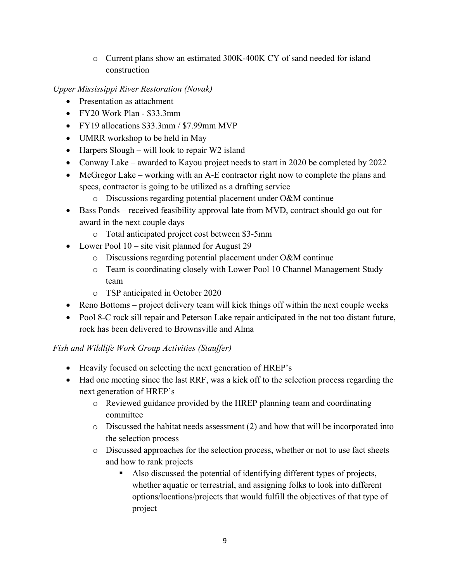o Current plans show an estimated 300K-400K CY of sand needed for island construction

*Upper Mississippi River Restoration (Novak)* 

- Presentation as attachment
- $\bullet$  FY20 Work Plan \$33.3mm
- FY19 allocations \$33.3mm / \$7.99mm MVP
- UMRR workshop to be held in May
- $\bullet$  Harpers Slough will look to repair W2 island
- Conway Lake awarded to Kayou project needs to start in 2020 be completed by 2022
- McGregor Lake working with an A-E contractor right now to complete the plans and specs, contractor is going to be utilized as a drafting service
	- o Discussions regarding potential placement under O&M continue
- Bass Ponds received feasibility approval late from MVD, contract should go out for award in the next couple days
	- o Total anticipated project cost between \$3-5mm
- Lower Pool 10 site visit planned for August 29
	- o Discussions regarding potential placement under O&M continue
	- o Team is coordinating closely with Lower Pool 10 Channel Management Study team
	- o TSP anticipated in October 2020
- Reno Bottoms project delivery team will kick things off within the next couple weeks
- Pool 8-C rock sill repair and Peterson Lake repair anticipated in the not too distant future, rock has been delivered to Brownsville and Alma

## *Fish and Wildlife Work Group Activities (Stauffer)*

- Heavily focused on selecting the next generation of HREP's
- Had one meeting since the last RRF, was a kick off to the selection process regarding the next generation of HREP's
	- o Reviewed guidance provided by the HREP planning team and coordinating committee
	- $\circ$  Discussed the habitat needs assessment (2) and how that will be incorporated into the selection process
	- o Discussed approaches for the selection process, whether or not to use fact sheets and how to rank projects
		- Also discussed the potential of identifying different types of projects, whether aquatic or terrestrial, and assigning folks to look into different options/locations/projects that would fulfill the objectives of that type of project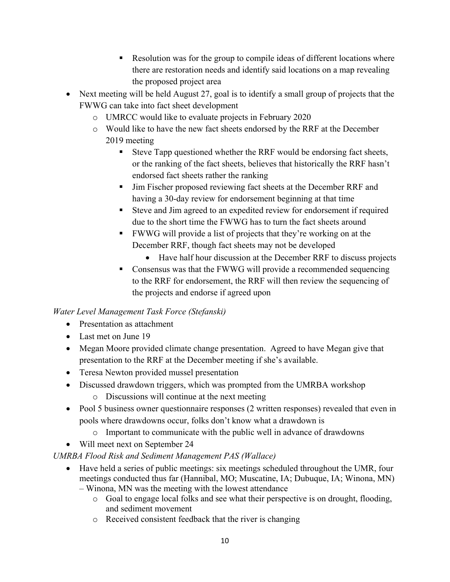- Resolution was for the group to compile ideas of different locations where there are restoration needs and identify said locations on a map revealing the proposed project area
- Next meeting will be held August 27, goal is to identify a small group of projects that the FWWG can take into fact sheet development
	- o UMRCC would like to evaluate projects in February 2020
	- o Would like to have the new fact sheets endorsed by the RRF at the December 2019 meeting
		- Steve Tapp questioned whether the RRF would be endorsing fact sheets, or the ranking of the fact sheets, believes that historically the RRF hasn't endorsed fact sheets rather the ranking
		- Jim Fischer proposed reviewing fact sheets at the December RRF and having a 30-day review for endorsement beginning at that time
		- Steve and Jim agreed to an expedited review for endorsement if required due to the short time the FWWG has to turn the fact sheets around
		- FWWG will provide a list of projects that they're working on at the December RRF, though fact sheets may not be developed
			- Have half hour discussion at the December RRF to discuss projects
		- Consensus was that the FWWG will provide a recommended sequencing to the RRF for endorsement, the RRF will then review the sequencing of the projects and endorse if agreed upon

## *Water Level Management Task Force (Stefanski)*

- Presentation as attachment
- Last met on June 19
- Megan Moore provided climate change presentation. Agreed to have Megan give that presentation to the RRF at the December meeting if she's available.
- Teresa Newton provided mussel presentation
- Discussed drawdown triggers, which was prompted from the UMRBA workshop
	- o Discussions will continue at the next meeting
- Pool 5 business owner questionnaire responses (2 written responses) revealed that even in pools where drawdowns occur, folks don't know what a drawdown is
	- o Important to communicate with the public well in advance of drawdowns
- Will meet next on September 24

# *UMRBA Flood Risk and Sediment Management PAS (Wallace)*

- Have held a series of public meetings: six meetings scheduled throughout the UMR, four meetings conducted thus far (Hannibal, MO; Muscatine, IA; Dubuque, IA; Winona, MN)
	- Winona, MN was the meeting with the lowest attendance
		- o Goal to engage local folks and see what their perspective is on drought, flooding, and sediment movement
		- o Received consistent feedback that the river is changing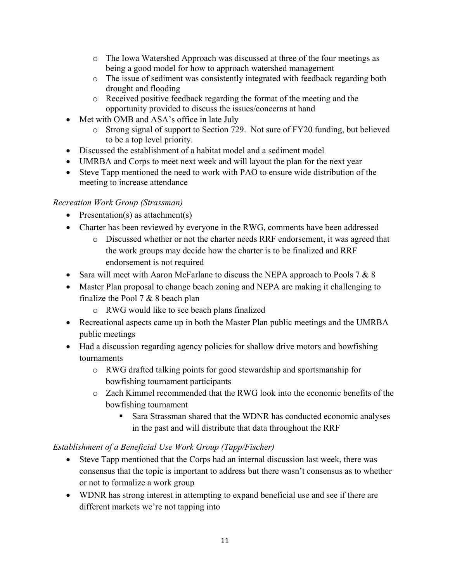- o The Iowa Watershed Approach was discussed at three of the four meetings as being a good model for how to approach watershed management
- o The issue of sediment was consistently integrated with feedback regarding both drought and flooding
- o Received positive feedback regarding the format of the meeting and the opportunity provided to discuss the issues/concerns at hand
- Met with OMB and ASA's office in late July
	- o Strong signal of support to Section 729. Not sure of FY20 funding, but believed to be a top level priority.
- Discussed the establishment of a habitat model and a sediment model
- UMRBA and Corps to meet next week and will layout the plan for the next year
- Steve Tapp mentioned the need to work with PAO to ensure wide distribution of the meeting to increase attendance

## *Recreation Work Group (Strassman)*

- Presentation(s) as attachment(s)
- Charter has been reviewed by everyone in the RWG, comments have been addressed
	- o Discussed whether or not the charter needs RRF endorsement, it was agreed that the work groups may decide how the charter is to be finalized and RRF endorsement is not required
- Sara will meet with Aaron McFarlane to discuss the NEPA approach to Pools 7  $& 8$
- Master Plan proposal to change beach zoning and NEPA are making it challenging to finalize the Pool 7 & 8 beach plan
	- o RWG would like to see beach plans finalized
- Recreational aspects came up in both the Master Plan public meetings and the UMRBA public meetings
- Had a discussion regarding agency policies for shallow drive motors and bowfishing tournaments
	- o RWG drafted talking points for good stewardship and sportsmanship for bowfishing tournament participants
	- o Zach Kimmel recommended that the RWG look into the economic benefits of the bowfishing tournament
		- Sara Strassman shared that the WDNR has conducted economic analyses in the past and will distribute that data throughout the RRF

## *Establishment of a Beneficial Use Work Group (Tapp/Fischer)*

- Steve Tapp mentioned that the Corps had an internal discussion last week, there was consensus that the topic is important to address but there wasn't consensus as to whether or not to formalize a work group
- WDNR has strong interest in attempting to expand beneficial use and see if there are different markets we're not tapping into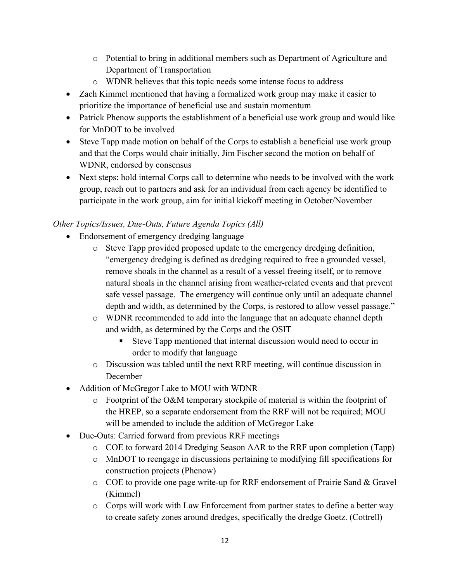- o Potential to bring in additional members such as Department of Agriculture and Department of Transportation
- o WDNR believes that this topic needs some intense focus to address
- Zach Kimmel mentioned that having a formalized work group may make it easier to prioritize the importance of beneficial use and sustain momentum
- Patrick Phenow supports the establishment of a beneficial use work group and would like for MnDOT to be involved
- Steve Tapp made motion on behalf of the Corps to establish a beneficial use work group and that the Corps would chair initially, Jim Fischer second the motion on behalf of WDNR, endorsed by consensus
- Next steps: hold internal Corps call to determine who needs to be involved with the work group, reach out to partners and ask for an individual from each agency be identified to participate in the work group, aim for initial kickoff meeting in October/November

## *Other Topics/Issues, Due-Outs, Future Agenda Topics (All)*

- Endorsement of emergency dredging language
	- o Steve Tapp provided proposed update to the emergency dredging definition, "emergency dredging is defined as dredging required to free a grounded vessel, remove shoals in the channel as a result of a vessel freeing itself, or to remove natural shoals in the channel arising from weather-related events and that prevent safe vessel passage. The emergency will continue only until an adequate channel depth and width, as determined by the Corps, is restored to allow vessel passage."
	- o WDNR recommended to add into the language that an adequate channel depth and width, as determined by the Corps and the OSIT
		- Steve Tapp mentioned that internal discussion would need to occur in order to modify that language
	- o Discussion was tabled until the next RRF meeting, will continue discussion in December
- Addition of McGregor Lake to MOU with WDNR
	- o Footprint of the O&M temporary stockpile of material is within the footprint of the HREP, so a separate endorsement from the RRF will not be required; MOU will be amended to include the addition of McGregor Lake
- Due-Outs: Carried forward from previous RRF meetings
	- o COE to forward 2014 Dredging Season AAR to the RRF upon completion (Tapp)
	- o MnDOT to reengage in discussions pertaining to modifying fill specifications for construction projects (Phenow)
	- o COE to provide one page write-up for RRF endorsement of Prairie Sand & Gravel (Kimmel)
	- o Corps will work with Law Enforcement from partner states to define a better way to create safety zones around dredges, specifically the dredge Goetz. (Cottrell)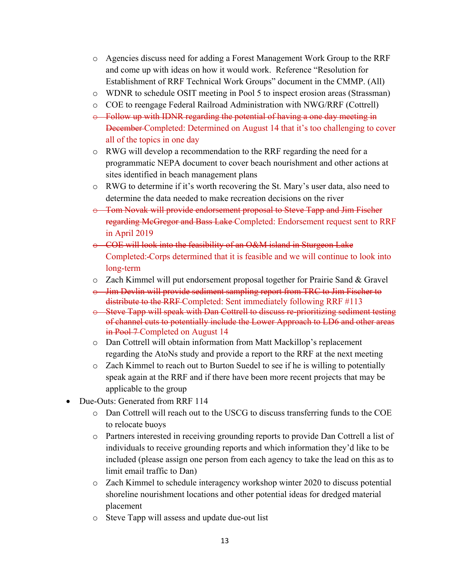- o Agencies discuss need for adding a Forest Management Work Group to the RRF and come up with ideas on how it would work. Reference "Resolution for Establishment of RRF Technical Work Groups" document in the CMMP. (All)
- o WDNR to schedule OSIT meeting in Pool 5 to inspect erosion areas (Strassman)
- o COE to reengage Federal Railroad Administration with NWG/RRF (Cottrell)
- o Follow up with IDNR regarding the potential of having a one day meeting in December Completed: Determined on August 14 that it's too challenging to cover all of the topics in one day
- o RWG will develop a recommendation to the RRF regarding the need for a programmatic NEPA document to cover beach nourishment and other actions at sites identified in beach management plans
- $\circ$  RWG to determine if it's worth recovering the St. Mary's user data, also need to determine the data needed to make recreation decisions on the river
- o Tom Novak will provide endorsement proposal to Steve Tapp and Jim Fischer regarding McGregor and Bass Lake Completed: Endorsement request sent to RRF in April 2019
- o COE will look into the feasibility of an O&M island in Sturgeon Lake Completed: Corps determined that it is feasible and we will continue to look into long-term
- o Zach Kimmel will put endorsement proposal together for Prairie Sand & Gravel
- o Jim Devlin will provide sediment sampling report from TRC to Jim Fischer to distribute to the RRF Completed: Sent immediately following RRF #113
- o Steve Tapp will speak with Dan Cottrell to discuss re-prioritizing sediment testing of channel cuts to potentially include the Lower Approach to LD6 and other areas in Pool 7 Completed on August 14
- o Dan Cottrell will obtain information from Matt Mackillop's replacement regarding the AtoNs study and provide a report to the RRF at the next meeting
- o Zach Kimmel to reach out to Burton Suedel to see if he is willing to potentially speak again at the RRF and if there have been more recent projects that may be applicable to the group
- Due-Outs: Generated from RRF 114
	- o Dan Cottrell will reach out to the USCG to discuss transferring funds to the COE to relocate buoys
	- o Partners interested in receiving grounding reports to provide Dan Cottrell a list of individuals to receive grounding reports and which information they'd like to be included (please assign one person from each agency to take the lead on this as to limit email traffic to Dan)
	- o Zach Kimmel to schedule interagency workshop winter 2020 to discuss potential shoreline nourishment locations and other potential ideas for dredged material placement
	- o Steve Tapp will assess and update due-out list